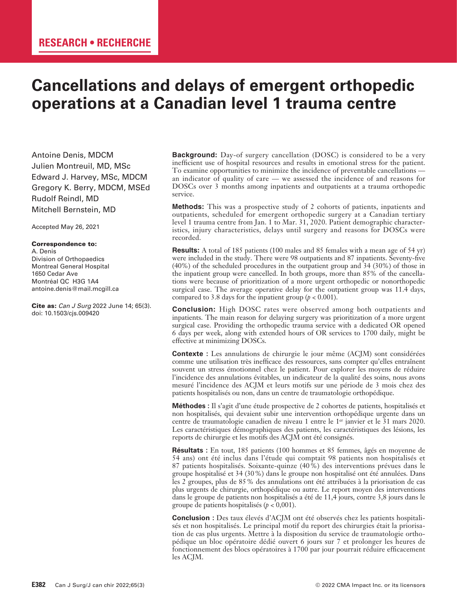# **Cancellations and delays of emergent orthopedic operations at a Canadian level 1 trauma centre**

Antoine Denis, MDCM Julien Montreuil, MD, MSc Edward J. Harvey, MSc, MDCM Gregory K. Berry, MDCM, MSEd Rudolf Reindl, MD Mitchell Bernstein, MD

Accepted May 26, 2021

#### Correspondence to:

A. Denis Division of Orthopaedics Montreal General Hospital 1650 Cedar Ave Montréal QC H3G 1A4 antoine.denis@mail.mcgill.ca

Cite as: *Can J Surg* 2022 June 14; 65(3). doi: 10.1503/cjs.009420

**Background:** Day-of surgery cancellation (DOSC) is considered to be a very inefficient use of hospital resources and results in emotional stress for the patient. To examine opportunities to minimize the incidence of preventable cancellations an indicator of quality of care — we assessed the incidence of and reasons for DOSCs over 3 months among inpatients and outpatients at a trauma orthopedic service.

**Methods:** This was a prospective study of 2 cohorts of patients, inpatients and outpatients, scheduled for emergent orthopedic surgery at a Canadian tertiary level 1 trauma centre from Jan. 1 to Mar. 31, 2020. Patient demographic characteristics, injury characteristics, delays until surgery and reasons for DOSCs were recorded.

**Results:** A total of 185 patients (100 males and 85 females with a mean age of 54 yr) were included in the study. There were 98 outpatients and 87 inpatients. Seventy-five (40%) of the scheduled procedures in the outpatient group and 34 (30%) of those in the inpatient group were cancelled. In both groups, more than 85% of the cancellations were because of prioritization of a more urgent orthopedic or nonorthopedic surgical case. The average operative delay for the outpatient group was 11.4 days, compared to 3.8 days for the inpatient group  $(p < 0.001)$ .

**Conclusion:** High DOSC rates were observed among both outpatients and inpatients. The main reason for delaying surgery was prioritization of a more urgent surgical case. Providing the orthopedic trauma service with a dedicated OR opened 6 days per week, along with extended hours of OR services to 1700 daily, might be effective at minimizing DOSCs.

**Contexte :** Les annulations de chirurgie le jour même (ACJM) sont considérées comme une utilisation très inefficace des ressources, sans compter qu'elles entraînent souvent un stress émotionnel chez le patient. Pour explorer les moyens de réduire l'incidence des annulations évitables, un indicateur de la qualité des soins, nous avons mesuré l'incidence des ACJM et leurs motifs sur une période de 3 mois chez des patients hospitalisés ou non, dans un centre de traumatologie orthopédique.

**Méthodes :** Il s'agit d'une étude prospective de 2 cohortes de patients, hospitalisés et non hospitalisés, qui devaient subir une intervention orthopédique urgente dans un centre de traumatologie canadien de niveau 1 entre le 1<sup>er</sup> janvier et le 31 mars 2020. Les caractéristiques démographiques des patients, les caractéristiques des lésions, les reports de chirurgie et les motifs des ACJM ont été consignés.

**Résultats :** En tout, 185 patients (100 hommes et 85 femmes, âgés en moyenne de 54 ans) ont été inclus dans l'étude qui comptait 98 patients non hospitalisés et 87 patients hospitalisés. Soixante-quinze (40%) des interventions prévues dans le groupe hospitalisé et 34 (30%) dans le groupe non hospitalisé ont été annulées. Dans les 2 groupes, plus de 85% des annulations ont été attribuées à la priorisation de cas plus urgents de chirurgie, orthopédique ou autre. Le report moyen des interventions dans le groupe de patients non hospitalisés a été de 11,4 jours, contre 3,8 jours dans le groupe de patients hospitalisés (*p* < 0,001).

**Conclusion :** Des taux élevés d'ACJM ont été observés chez les patients hospitalisés et non hospitalisés. Le principal motif du report des chirurgies était la priorisation de cas plus urgents. Mettre à la disposition du service de traumatologie orthopédique un bloc opératoire dédié ouvert 6 jours sur 7 et prolonger les heures de fonctionnement des blocs opératoires à 1700 par jour pourrait réduire efficacement les ACJM.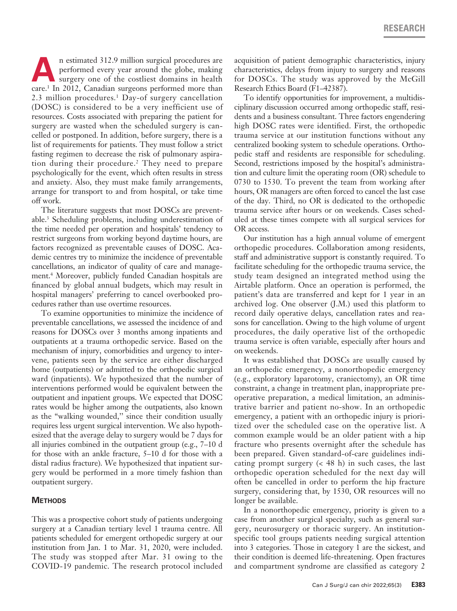**A**n estimated 312.9 million surgical procedures are performed every year around the globe, making surgery one of the costliest domains in health performed every year around the globe, making surgery one of the costliest domains in health care.1 In 2012, Canadian surgeons performed more than 2.3 million procedures.<sup>1</sup> Day-of surgery cancellation (DOSC) is considered to be a very inefficient use of resources. Costs associated with preparing the patient for surgery are wasted when the scheduled surgery is cancelled or postponed. In addition, before surgery, there is a list of requirements for patients. They must follow a strict fasting regimen to decrease the risk of pulmonary aspiration during their procedure.2 They need to prepare psychologically for the event, which often results in stress and anxiety. Also, they must make family arrangements, arrange for transport to and from hospital, or take time off work.

The literature suggests that most DOSCs are preventable.3 Scheduling problems, including underestimation of the time needed per operation and hospitals' tendency to restrict surgeons from working beyond daytime hours, are factors recognized as preventable causes of DOSC. Academic centres try to minimize the incidence of preventable cancellations, an indicator of quality of care and management.4 Moreover, publicly funded Canadian hospitals are financed by global annual budgets, which may result in hospital managers' preferring to cancel overbooked procedures rather than use overtime resources.

To examine opportunities to minimize the incidence of preventable cancellations, we assessed the incidence of and reasons for DOSCs over 3 months among inpatients and outpatients at a trauma orthopedic service. Based on the mechanism of injury, comorbidities and urgency to intervene, patients seen by the service are either discharged home (outpatients) or admitted to the orthopedic surgical ward (inpatients). We hypothesized that the number of interventions performed would be equivalent between the outpatient and inpatient groups. We expected that DOSC rates would be higher among the outpatients, also known as the "walking wounded,'' since their condition usually requires less urgent surgical intervention. We also hypothesized that the average delay to surgery would be 7 days for all injuries combined in the outpatient group (e.g., 7–10 d for those with an ankle fracture, 5–10 d for those with a distal radius fracture). We hypothesized that inpatient surgery would be performed in a more timely fashion than outpatient surgery.

## **Methods**

This was a prospective cohort study of patients undergoing surgery at a Canadian tertiary level 1 trauma centre. All patients scheduled for emergent orthopedic surgery at our institution from Jan. 1 to Mar. 31, 2020, were included. The study was stopped after Mar. 31 owing to the COVID-19 pandemic. The research protocol included

acquisition of patient demographic characteristics, injury characteristics, delays from injury to surgery and reasons for DOSCs. The study was approved by the McGill Research Ethics Board (F1–42387).

To identify opportunities for improvement, a multidisciplinary discussion occurred among orthopedic staff, residents and a business consultant. Three factors engendering high DOSC rates were identified. First, the orthopedic trauma service at our institution functions without any centralized booking system to schedule operations. Orthopedic staff and residents are responsible for scheduling. Second, restrictions imposed by the hospital's administration and culture limit the operating room (OR) schedule to 0730 to 1530. To prevent the team from working after hours, OR managers are often forced to cancel the last case of the day. Third, no OR is dedicated to the orthopedic trauma service after hours or on weekends. Cases scheduled at these times compete with all surgical services for OR access.

Our institution has a high annual volume of emergent orthopedic procedures. Collaboration among residents, staff and administrative support is constantly required. To facilitate scheduling for the orthopedic trauma service, the study team designed an integrated method using the Airtable platform. Once an operation is performed, the patient's data are transferred and kept for 1 year in an archived log. One observer (J.M.) used this platform to record daily operative delays, cancellation rates and reasons for cancellation. Owing to the high volume of urgent procedures, the daily operative list of the orthopedic trauma service is often variable, especially after hours and on weekends.

It was established that DOSCs are usually caused by an orthopedic emergency, a nonorthopedic emergency (e.g., exploratory laparotomy, craniectomy), an OR time constraint, a change in treatment plan, inappropriate preoperative preparation, a medical limitation, an administrative barrier and patient no-show. In an orthopedic emergency, a patient with an orthopedic injury is prioritized over the scheduled case on the operative list. A common example would be an older patient with a hip fracture who presents overnight after the schedule has been prepared. Given standard-of-care guidelines indicating prompt surgery  $( $48 \text{ h}$ )$  in such cases, the last orthopedic operation scheduled for the next day will often be cancelled in order to perform the hip fracture surgery, considering that, by 1530, OR resources will no longer be available.

In a nonorthopedic emergency, priority is given to a case from another surgical specialty, such as general surgery, neurosurgery or thoracic surgery. An institutionspecific tool groups patients needing surgical attention into 3 categories. Those in category 1 are the sickest, and their condition is deemed life-threatening. Open fractures and compartment syndrome are classified as category 2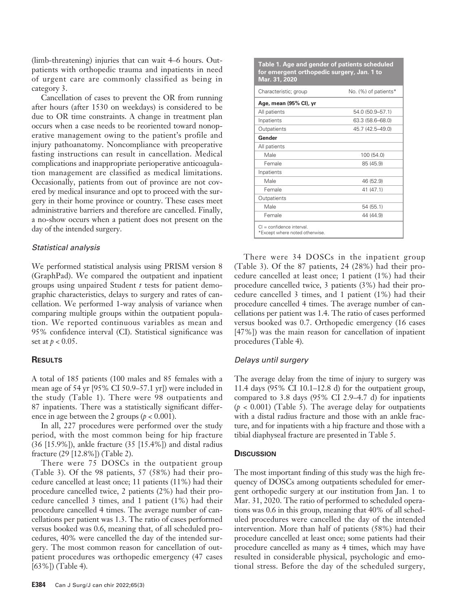(limb-threatening) injuries that can wait 4–6 hours. Outpatients with orthopedic trauma and inpatients in need of urgent care are commonly classified as being in category 3.

Cancellation of cases to prevent the OR from running after hours (after 1530 on weekdays) is considered to be due to OR time constraints. A change in treatment plan occurs when a case needs to be reoriented toward nonoperative management owing to the patient's profile and injury pathoanatomy. Noncompliance with preoperative fasting instructions can result in cancellation. Medical complications and inappropriate perioperative anticoagulation management are classified as medical limitations. Occasionally, patients from out of province are not covered by medical insurance and opt to proceed with the surgery in their home province or country. These cases meet administrative barriers and therefore are cancelled. Finally, a no-show occurs when a patient does not present on the day of the intended surgery.

#### *Statistical analysis*

We performed statistical analysis using PRISM version 8 (GraphPad). We compared the outpatient and inpatient groups using unpaired Student *t* tests for patient demographic characteristics, delays to surgery and rates of cancellation. We performed 1-way analysis of variance when comparing multiple groups within the outpatient population. We reported continuous variables as mean and 95% confidence interval (CI). Statistical significance was set at *p* < 0.05.

## **Results**

A total of 185 patients (100 males and 85 females with a mean age of 54 yr [95% CI 50.9–57.1 yr]) were included in the study (Table 1). There were 98 outpatients and 87 inpatients. There was a statistically significant difference in age between the 2 groups  $(p < 0.001)$ .

In all, 227 procedures were performed over the study period, with the most common being for hip fracture (36 [15.9%]), ankle fracture (35 [15.4%]) and distal radius fracture (29 [12.8%]) (Table 2).

There were 75 DOSCs in the outpatient group (Table 3). Of the 98 patients, 57 (58%) had their procedure cancelled at least once; 11 patients (11%) had their procedure cancelled twice, 2 patients (2%) had their procedure cancelled 3 times, and 1 patient (1%) had their procedure cancelled 4 times. The average number of cancellations per patient was 1.3. The ratio of cases performed versus booked was 0.6, meaning that, of all scheduled procedures, 40% were cancelled the day of the intended surgery. The most common reason for cancellation of outpatient procedures was orthopedic emergency (47 cases [63%]) (Table 4).

| Table 1. Age and gender of patients scheduled |
|-----------------------------------------------|
| for emergent orthopedic surgery, Jan. 1 to    |
| Mar. 31, 2020                                 |

| Characteristic; group                                         | No. (%) of patients* |
|---------------------------------------------------------------|----------------------|
| Age, mean (95% CI), yr                                        |                      |
| All patients                                                  | 54.0 (50.9-57.1)     |
| Inpatients                                                    | 63.3 (58.6–68.0)     |
| Outpatients                                                   | 45.7 (42.5–49.0)     |
| Gender                                                        |                      |
| All patients                                                  |                      |
| Male                                                          | 100 (54.0)           |
| Female                                                        | 85 (45.9)            |
| Inpatients                                                    |                      |
| Male                                                          | 46 (52.9)            |
| Female                                                        | 41 (47.1)            |
| Outpatients                                                   |                      |
| Male                                                          | 54 (55.1)            |
| Female                                                        | 44 (44.9)            |
| $Cl =$ confidence interval.<br>*Except where noted otherwise. |                      |

There were 34 DOSCs in the inpatient group (Table 3). Of the 87 patients, 24 (28%) had their procedure cancelled at least once; 1 patient (1%) had their procedure cancelled twice, 3 patients (3%) had their procedure cancelled 3 times, and 1 patient (1%) had their procedure cancelled 4 times. The average number of cancellations per patient was 1.4. The ratio of cases performed versus booked was 0.7. Orthopedic emergency (16 cases [47%]) was the main reason for cancellation of inpatient procedures (Table 4).

## *Delays until surgery*

The average delay from the time of injury to surgery was 11.4 days (95% CI 10.1–12.8 d) for the outpatient group, compared to 3.8 days (95% CI 2.9–4.7 d) for inpatients  $(p < 0.001)$  (Table 5). The average delay for outpatients with a distal radius fracture and those with an ankle fracture, and for inpatients with a hip fracture and those with a tibial diaphyseal fracture are presented in Table 5.

## **Discussion**

The most important finding of this study was the high frequency of DOSCs among outpatients scheduled for emergent orthopedic surgery at our institution from Jan. 1 to Mar. 31, 2020. The ratio of performed to scheduled operations was 0.6 in this group, meaning that 40% of all scheduled procedures were cancelled the day of the intended intervention. More than half of patients (58%) had their procedure cancelled at least once; some patients had their procedure cancelled as many as 4 times, which may have resulted in considerable physical, psychologic and emotional stress. Before the day of the scheduled surgery,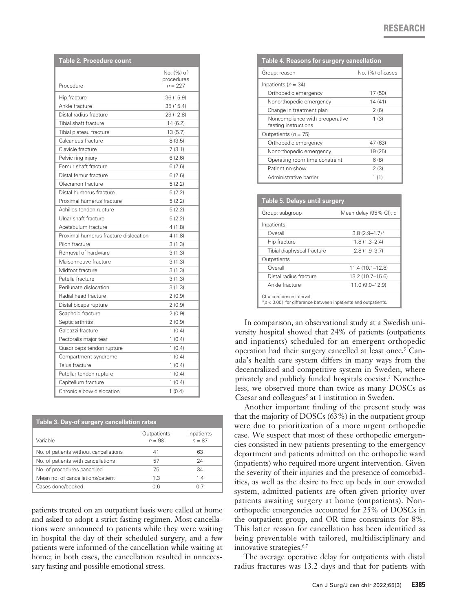| <b>Table 2. Procedure count</b>       |                                       |  |
|---------------------------------------|---------------------------------------|--|
| Procedure                             | No. (%) of<br>procedures<br>$n = 227$ |  |
| Hip fracture                          | 36 (15.9)                             |  |
| Ankle fracture                        | 35 (15.4)                             |  |
| Distal radius fracture                | 29 (12.8)                             |  |
| Tibial shaft fracture                 | 14 (6.2)                              |  |
| Tibial plateau fracture               | 13 (5.7)                              |  |
| Calcaneus fracture                    | 8(3.5)                                |  |
| Clavicle fracture                     | 7(3.1)                                |  |
| Pelvic ring injury                    | 6(2.6)                                |  |
| Femur shaft fracture                  | 6(2.6)                                |  |
| Distal femur fracture                 | 6(2.6)                                |  |
| Olecranon fracture                    | 5(2.2)                                |  |
| Distal humerus fracture               | 5(2.2)                                |  |
| Proximal humerus fracture             | 5(2.2)                                |  |
| Achilles tendon rupture               | 5(2.2)                                |  |
| Ulnar shaft fracture                  | 5(2.2)                                |  |
| Acetabulum fracture                   | 4(1.8)                                |  |
| Proximal humerus fracture dislocation | 4(1.8)                                |  |
| Pilon fracture                        | 3(1.3)                                |  |
| Removal of hardware                   | 3(1.3)                                |  |
| Maisonneuve fracture                  | 3(1.3)                                |  |
| Midfoot fracture                      | 3(1.3)                                |  |
| Patella fracture                      | 3(1.3)                                |  |
| Perilunate dislocation                | 3(1.3)                                |  |
| Radial head fracture                  | 2(0.9)                                |  |
| Distal biceps rupture                 | 2(0.9)                                |  |
| Scaphoid fracture                     | 2(0.9)                                |  |
| Septic arthritis                      | 2(0.9)                                |  |
| Galeazzi fracture                     | 1(0.4)                                |  |
| Pectoralis major tear                 | 1(0.4)                                |  |
| Quadriceps tendon rupture             | 1(0.4)                                |  |
| Compartment syndrome                  | 1(0.4)                                |  |
| Talus fracture                        | 1(0.4)                                |  |
| Patellar tendon rupture               | 1(0.4)                                |  |
| Capitellum fracture                   | 1(0.4)                                |  |
| Chronic elbow dislocation             | 1(0.4)                                |  |

| Table 3. Day-of surgery cancellation rates |                         |                        |  |
|--------------------------------------------|-------------------------|------------------------|--|
| Variable                                   | Outpatients<br>$n = 98$ | Inpatients<br>$n = 87$ |  |
| No. of patients without cancellations      | 41                      | 63                     |  |
| No. of patients with cancellations         | 57                      | 24                     |  |
| No. of procedures cancelled                | 75                      | 34                     |  |
| Mean no. of cancellations/patient          | 1.3                     | 1.4                    |  |
| Cases done/booked                          | 06                      | 0 7                    |  |

patients treated on an outpatient basis were called at home and asked to adopt a strict fasting regimen. Most cancellations were announced to patients while they were waiting in hospital the day of their scheduled surgery, and a few patients were informed of the cancellation while waiting at home; in both cases, the cancellation resulted in unnecessary fasting and possible emotional stress.

| Table 4. Reasons for surgery cancellation               |                  |  |
|---------------------------------------------------------|------------------|--|
| Group; reason                                           | No. (%) of cases |  |
| Inpatients ( $n = 34$ )                                 |                  |  |
| Orthopedic emergency                                    | 17 (50)          |  |
| Nonorthopedic emergency                                 | 14 (41)          |  |
| Change in treatment plan                                | 2(6)             |  |
| Noncompliance with preoperative<br>fasting instructions | 1(3)             |  |
| Outpatients ( $n = 75$ )                                |                  |  |
| Orthopedic emergency                                    | 47 (63)          |  |
| Nonorthopedic emergency                                 | 19 (25)          |  |
| Operating room time constraint                          | 6 (8)            |  |
| Patient no-show                                         | 2(3)             |  |
| Administrative barrier                                  | 1 (1)            |  |

| <b>Table 5. Delays until surgery</b>                                                          |                        |  |
|-----------------------------------------------------------------------------------------------|------------------------|--|
| Group; subgroup                                                                               | Mean delay (95% CI), d |  |
| Inpatients                                                                                    |                        |  |
| Overall                                                                                       | $3.8(2.9 - 4.7)$ *     |  |
| Hip fracture                                                                                  | $1.8(1.3 - 2.4)$       |  |
| Tibial diaphyseal fracture                                                                    | $2.8(1.9 - 3.7)$       |  |
| Outpatients                                                                                   |                        |  |
| Overall                                                                                       | 11.4 (10.1-12.8)       |  |
| Distal radius fracture                                                                        | 13.2 (10.7-15.6)       |  |
| Ankle fracture                                                                                | 11.0 (9.0-12.9)        |  |
| $Cl =$ confidence interval.<br>$p$ < 0.001 for difference between inpatients and outpatients. |                        |  |

In comparison, an observational study at a Swedish university hospital showed that 24% of patients (outpatients and inpatients) scheduled for an emergent orthopedic operation had their surgery cancelled at least once.<sup>5</sup> Canada's health care system differs in many ways from the decentralized and competitive system in Sweden, where privately and publicly funded hospitals coexist.<sup>5</sup> Nonetheless, we observed more than twice as many DOSCs as Caesar and colleagues<sup>5</sup> at 1 institution in Sweden.

Another important finding of the present study was that the majority of DOSCs (63%) in the outpatient group were due to prioritization of a more urgent orthopedic case. We suspect that most of these orthopedic emergencies consisted in new patients presenting to the emergency department and patients admitted on the orthopedic ward (inpatients) who required more urgent intervention. Given the severity of their injuries and the presence of comorbidities, as well as the desire to free up beds in our crowded system, admitted patients are often given priority over patients awaiting surgery at home (outpatients). Nonorthopedic emergencies accounted for 25% of DOSCs in the outpatient group, and OR time constraints for 8%. This latter reason for cancellation has been identified as being preventable with tailored, multidisciplinary and innovative strategies.<sup>6,7</sup>

The average operative delay for outpatients with distal radius fractures was 13.2 days and that for patients with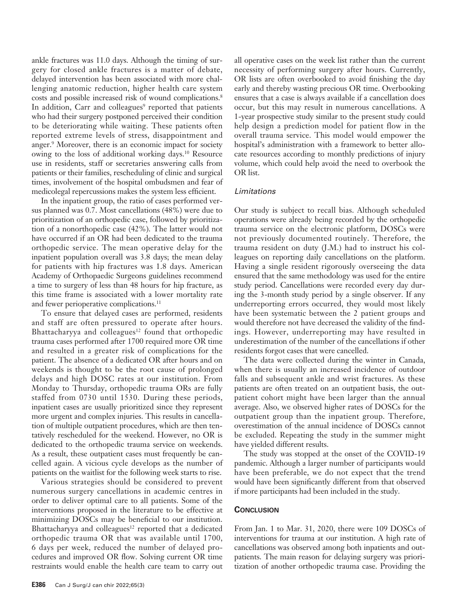ankle fractures was 11.0 days. Although the timing of surgery for closed ankle fractures is a matter of debate, delayed intervention has been associated with more challenging anatomic reduction, higher health care system costs and possible increased risk of wound complications.<sup>8</sup> In addition, Carr and colleagues<sup>9</sup> reported that patients who had their surgery postponed perceived their condition to be deteriorating while waiting. These patients often reported extreme levels of stress, disappointment and anger.<sup>9</sup> Moreover, there is an economic impact for society owing to the loss of additional working days.10 Resource use in residents, staff or secretaries answering calls from patients or their families, rescheduling of clinic and surgical times, involvement of the hospital ombudsmen and fear of medicolegal repercussions makes the system less efficient.

In the inpatient group, the ratio of cases performed versus planned was 0.7. Most cancellations (48%) were due to prioritization of an orthopedic case, followed by prioritization of a nonorthopedic case (42%). The latter would not have occurred if an OR had been dedicated to the trauma orthopedic service. The mean operative delay for the inpatient population overall was 3.8 days; the mean delay for patients with hip fractures was 1.8 days. American Academy of Orthopaedic Surgeons guidelines recommend a time to surgery of less than 48 hours for hip fracture, as this time frame is associated with a lower mortality rate and fewer perioperative complications.<sup>11</sup>

To ensure that delayed cases are performed, residents and staff are often pressured to operate after hours. Bhattacharyya and colleagues<sup>12</sup> found that orthopedic trauma cases performed after 1700 required more OR time and resulted in a greater risk of complications for the patient. The absence of a dedicated OR after hours and on weekends is thought to be the root cause of prolonged delays and high DOSC rates at our institution. From Monday to Thursday, orthopedic trauma ORs are fully staffed from 0730 until 1530. During these periods, inpatient cases are usually prioritized since they represent more urgent and complex injuries. This results in cancellation of multiple outpatient procedures, which are then tentatively rescheduled for the weekend. However, no OR is dedicated to the orthopedic trauma service on weekends. As a result, these outpatient cases must frequently be cancelled again. A vicious cycle develops as the number of patients on the waitlist for the following week starts to rise.

Various strategies should be considered to prevent numerous surgery cancellations in academic centres in order to deliver optimal care to all patients. Some of the interventions proposed in the literature to be effective at minimizing DOSCs may be beneficial to our institution. Bhattacharyya and colleagues<sup>12</sup> reported that a dedicated orthopedic trauma OR that was available until 1700, 6 days per week, reduced the number of delayed procedures and improved OR flow. Solving current OR time restraints would enable the health care team to carry out

all operative cases on the week list rather than the current necessity of performing surgery after hours. Currently, OR lists are often overbooked to avoid finishing the day early and thereby wasting precious OR time. Overbooking ensures that a case is always available if a cancellation does occur, but this may result in numerous cancellations. A 1-year prospective study similar to the present study could help design a prediction model for patient flow in the overall trauma service. This model would empower the hospital's administration with a framework to better allocate resources according to monthly predictions of injury volume, which could help avoid the need to overbook the OR list.

## *Limitations*

Our study is subject to recall bias. Although scheduled operations were already being recorded by the orthopedic trauma service on the electronic platform, DOSCs were not previously documented routinely. Therefore, the trauma resident on duty (J.M.) had to instruct his colleagues on reporting daily cancellations on the platform. Having a single resident rigorously overseeing the data ensured that the same methodology was used for the entire study period. Cancellations were recorded every day during the 3-month study period by a single observer. If any underreporting errors occurred, they would most likely have been systematic between the 2 patient groups and would therefore not have decreased the validity of the findings. However, underreporting may have resulted in underestimation of the number of the cancellations if other residents forgot cases that were cancelled.

The data were collected during the winter in Canada, when there is usually an increased incidence of outdoor falls and subsequent ankle and wrist fractures. As these patients are often treated on an outpatient basis, the outpatient cohort might have been larger than the annual average. Also, we observed higher rates of DOSCs for the outpatient group than the inpatient group. Therefore, overestimation of the annual incidence of DOSCs cannot be excluded. Repeating the study in the summer might have yielded different results.

The study was stopped at the onset of the COVID-19 pandemic. Although a larger number of participants would have been preferable, we do not expect that the trend would have been significantly different from that observed if more participants had been included in the study.

## **Conclusion**

From Jan. 1 to Mar. 31, 2020, there were 109 DOSCs of interventions for trauma at our institution. A high rate of cancellations was observed among both inpatients and outpatients. The main reason for delaying surgery was prioritization of another orthopedic trauma case. Providing the